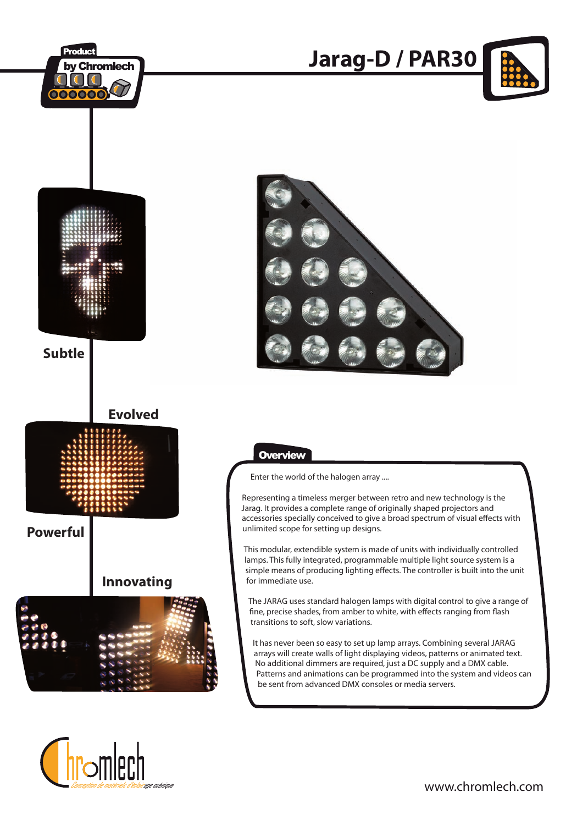

ane scéniaur